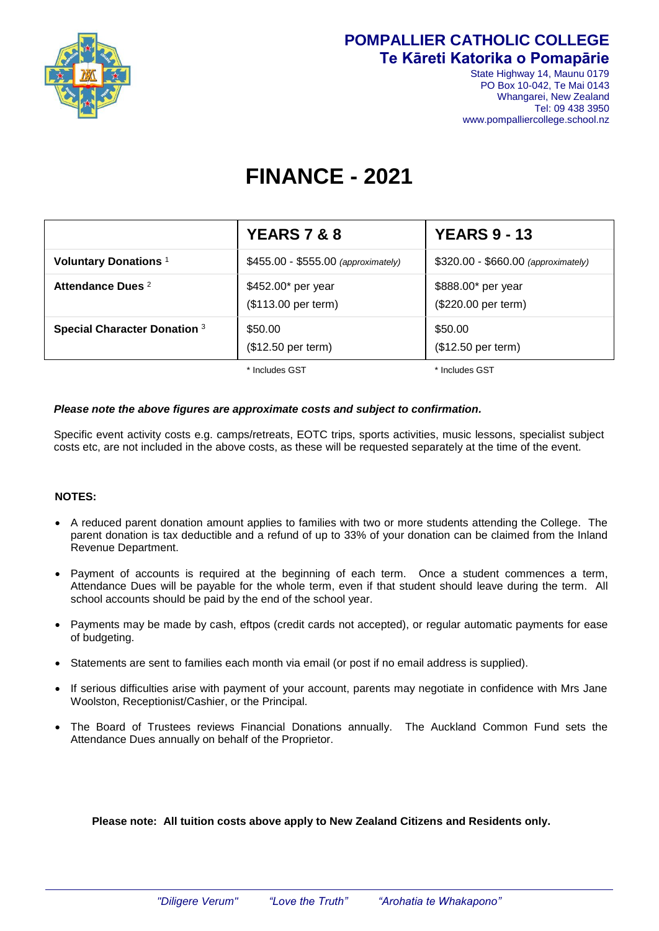

### **POMPALLIER CATHOLIC COLLEGE Te Kāreti Katorika o Pomapārie**

State Highway 14, Maunu 0179 PO Box 10-042, Te Mai 0143 Whangarei, New Zealand Tel: 09 438 3950 www.pompalliercollege.school.nz

# **FINANCE - 2021**

|                                         | <b>YEARS 7 &amp; 8</b>                                                     | <b>YEARS 9 - 13</b>                       |
|-----------------------------------------|----------------------------------------------------------------------------|-------------------------------------------|
| <b>Voluntary Donations</b> <sup>1</sup> | \$455.00 - \$555.00 (approximately)<br>\$320.00 - \$660.00 (approximately) |                                           |
| Attendance Dues <sup>2</sup>            | \$452.00* per year<br>(\$113.00 per term)                                  | \$888.00* per year<br>(\$220.00 per term) |
| <b>Special Character Donation 3</b>     | \$50.00<br>(\$12.50 per term)                                              | \$50.00<br>(\$12.50 per term)             |

\* Includes GST  $*$  Includes GST

#### *Please note the above figures are approximate costs and subject to confirmation.*

Specific event activity costs e.g. camps/retreats, EOTC trips, sports activities, music lessons, specialist subject costs etc, are not included in the above costs, as these will be requested separately at the time of the event.

#### **NOTES:**

- A reduced parent donation amount applies to families with two or more students attending the College. The parent donation is tax deductible and a refund of up to 33% of your donation can be claimed from the Inland Revenue Department.
- Payment of accounts is required at the beginning of each term. Once a student commences a term, Attendance Dues will be payable for the whole term, even if that student should leave during the term. All school accounts should be paid by the end of the school year.
- Payments may be made by cash, eftpos (credit cards not accepted), or regular automatic payments for ease of budgeting.
- Statements are sent to families each month via email (or post if no email address is supplied).
- If serious difficulties arise with payment of your account, parents may negotiate in confidence with Mrs Jane Woolston, Receptionist/Cashier, or the Principal.
- The Board of Trustees reviews Financial Donations annually. The Auckland Common Fund sets the Attendance Dues annually on behalf of the Proprietor.

#### **Please note: All tuition costs above apply to New Zealand Citizens and Residents only.**